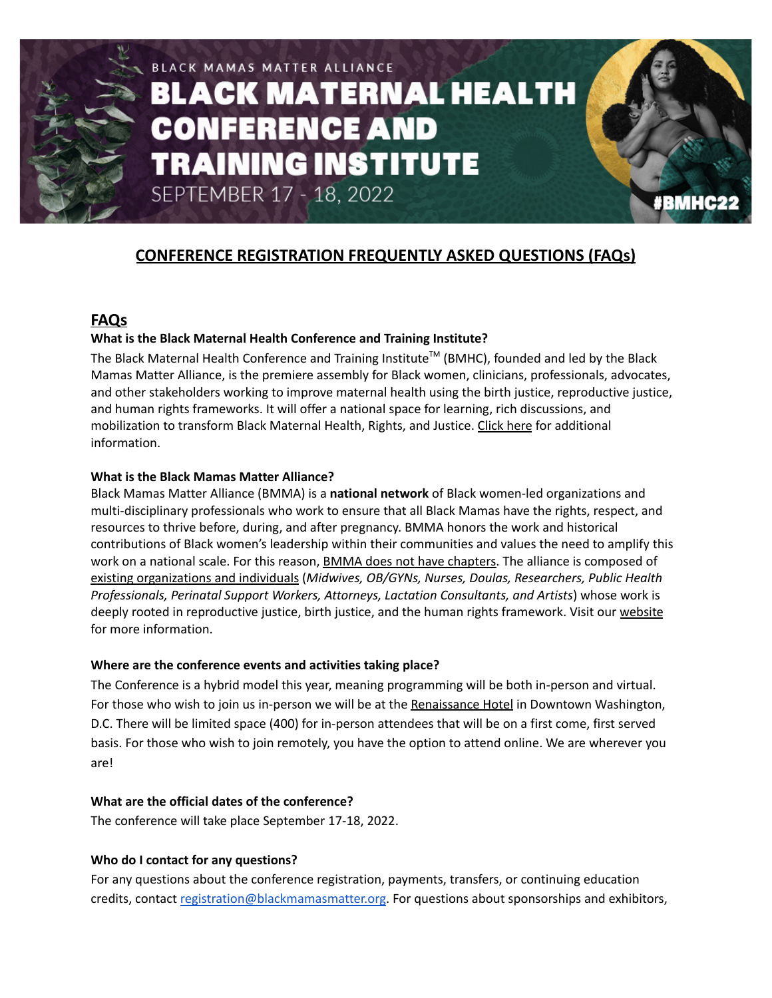

# BLACK MAMAS MATTER ALLIANCE **BLACK MATERNAL HEALTH CONFERENCE AND TRAINING INSTITUTE** SEPTEMBER 17 - 18, 2022



# **FAQs**

# **What is the Black Maternal Health Conference and Training Institute?**

The Black Maternal Health Conference and Training Institute<sup>™</sup> (BMHC), founded and led by the Black Mamas Matter Alliance, is the premiere assembly for Black women, clinicians, professionals, advocates, and other stakeholders working to improve maternal health using the birth justice, reproductive justice, and human rights frameworks. It will offer a national space for learning, rich discussions, and mobilization to transform Black Maternal Health, Rights, and Justice. [Click](https://blackmamasmatter.org/about/) here for additional information.

#### **What is the Black Mamas Matter Alliance?**

Black Mamas Matter Alliance (BMMA) is a **national network** of Black women-led organizations and multi-disciplinary professionals who work to ensure that all Black Mamas have the rights, respect, and resources to thrive before, during, and after pregnancy. BMMA honors the work and historical contributions of Black women's leadership within their communities and values the need to amplify t[h](https://blackmamasmatter.org/our-members/)is work on a national scale. For this reason, **BMMA** does not have chapters. The alliance is composed of existing [organizations](https://blackmamasmatter.org/our-members/) and individuals (*Midwives, OB/GYNs, Nurses, Doulas, Researchers, Public Health Professionals, Perinatal Support Workers, Attorneys, Lactation Consultants, and Artists*) whose work is deeply rooted in reproductive justice, birth justice, and the human rights framework. Visit our [website](https://blackmamasmatter.org/our-work/) for more information.

#### **Where are the conference events and activities taking place?**

The Conference is a hybrid model this year, meaning programming will be both in-person and virtual. For those who wish to join us in-person we will be at the [Renaissance](https://www.marriott.com/hotels/travel/wasrb-renaissance-washington-dc-downtown-hotel/) Hotel in Downtown Washington, D.C. There will be limited space (400) for in-person attendees that will be on a first come, first served basis. For those who wish to join remotely, you have the option to attend online. We are wherever you are!

# **What are the official dates of the conference?**

The conference will take place September 17-18, 2022.

# **Who do I contact for any questions?**

For any questions about the conference registration, payments, transfers, or continuing education credits, contact [registration@blackmamasmatter.org](mailto:registration@blackmamasmatter.org). For questions about sponsorships and exhibitors,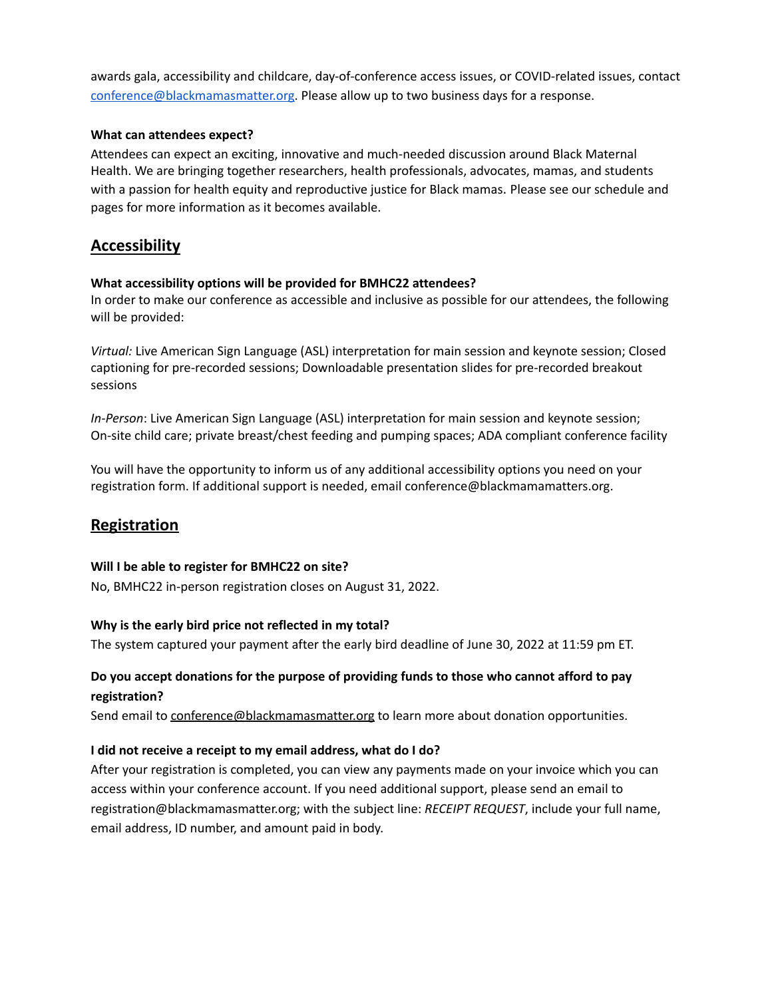awards gala, accessibility and childcare, day-of-conference access issues, or COVID-related issues, contact [conference@blackmamasmatter.org.](mailto:conference@blackmamasmatter.org) Please allow up to two business days for a response.

## **What can attendees expect?**

Attendees can expect an exciting, innovative and much-needed discussion around Black Maternal Health. We are bringing together researchers, health professionals, advocates, mamas, and students with a passion for health equity and reproductive justice for Black mamas. Please see our schedule and pages for more information as it becomes available.

# **Accessibility**

## **What accessibility options will be provided for BMHC22 attendees?**

In order to make our conference as accessible and inclusive as possible for our attendees, the following will be provided:

*Virtual:* Live American Sign Language (ASL) interpretation for main session and keynote session; Closed captioning for pre-recorded sessions; Downloadable presentation slides for pre-recorded breakout sessions

*In-Person*: Live American Sign Language (ASL) interpretation for main session and keynote session; On-site child care; private breast/chest feeding and pumping spaces; ADA compliant conference facility

You will have the opportunity to inform us of any additional accessibility options you need on your registration form. If additional support is needed, email conference@blackmamamatters.org.

# **Registration**

#### **Will I be able to register for BMHC22 on site?**

No, BMHC22 in-person registration closes on August 31, 2022.

#### **Why is the early bird price not reflected in my total?**

The system captured your payment after the early bird deadline of June 30, 2022 at 11:59 pm ET.

# **Do you accept donations for the purpose of providing funds to those who cannot afford to pay registration?**

Send email to [conference@blackmamasmatter.org](mailto:conference@blackmamasmatter.org) to learn more about donation opportunities.

#### **I did not receive a receipt to my email address, what do I do?**

After your registration is completed, you can view any payments made on your invoice which you can access within your conference account. If you need additional support, please send an email to registration@blackmamasmatter.org; with the subject line: *RECEIPT REQUEST*, include your full name, email address, ID number, and amount paid in body.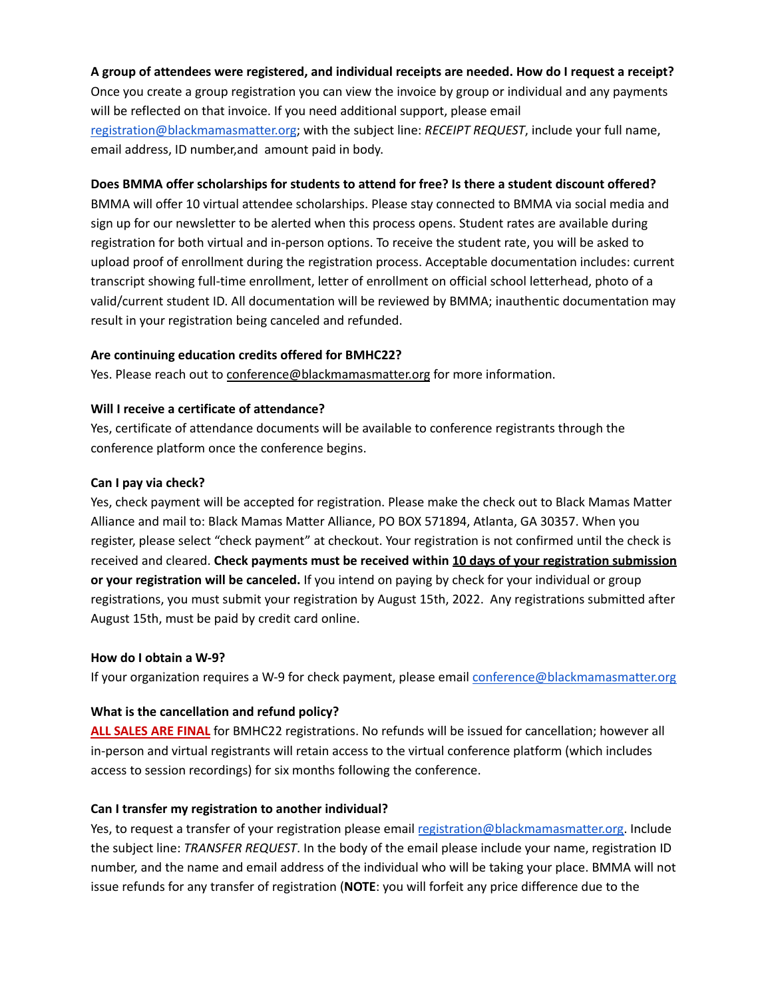## **A group of attendees were registered, and individual receipts are needed. How do I request a receipt?**

Once you create a group registration you can view the invoice by group or individual and any payments will be reflected on that invoice. If you need additional support, please email [registration@blackmamasmatter.org](mailto:registration@blackmamasmatter.org); with the subject line: *RECEIPT REQUEST*, include your full name, email address, ID number,and amount paid in body.

#### **Does BMMA offer scholarships for students to attend for free? Is there a student discount offered?**

BMMA will offer 10 virtual attendee scholarships. Please stay connected to BMMA via social media and sign up for our newsletter to be alerted when this process opens. Student rates are available during registration for both virtual and in-person options. To receive the student rate, you will be asked to upload proof of enrollment during the registration process. Acceptable documentation includes: current transcript showing full-time enrollment, letter of enrollment on official school letterhead, photo of a valid/current student ID. All documentation will be reviewed by BMMA; inauthentic documentation may result in your registration being canceled and refunded.

#### **Are continuing education credits offered for BMHC22?**

Yes. Please reach out to [conference@blackmamasmatter.org](mailto:conference@blackmamasmatter.org) for more information.

#### **Will I receive a certificate of attendance?**

Yes, certificate of attendance documents will be available to conference registrants through the conference platform once the conference begins.

#### **Can I pay via check?**

Yes, check payment will be accepted for registration. Please make the check out to Black Mamas Matter Alliance and mail to: Black Mamas Matter Alliance, PO BOX 571894, Atlanta, GA 30357. When you register, please select "check payment" at checkout. Your registration is not confirmed until the check is received and cleared. **Check payments must be received within 10 days of your registration submission or your registration will be canceled.** If you intend on paying by check for your individual or group registrations, you must submit your registration by August 15th, 2022. Any registrations submitted after August 15th, must be paid by credit card online.

#### **How do I obtain a W-9?**

If your organization requires a W-9 for check payment, please email [conference@blackmamasmatter.org](mailto:conference@blackmamasmatter.org)

#### **What is the cancellation and refund policy?**

**ALL SALES ARE FINAL** for BMHC22 registrations. No refunds will be issued for cancellation; however all in-person and virtual registrants will retain access to the virtual conference platform (which includes access to session recordings) for six months following the conference.

#### **Can I transfer my registration to another individual?**

Yes, to request a transfer of your registration please email [registration@blackmamasmatter.org.](mailto:registration@blackmamasmatter.org) Include the subject line: *TRANSFER REQUEST*. In the body of the email please include your name, registration ID number, and the name and email address of the individual who will be taking your place. BMMA will not issue refunds for any transfer of registration (**NOTE**: you will forfeit any price difference due to the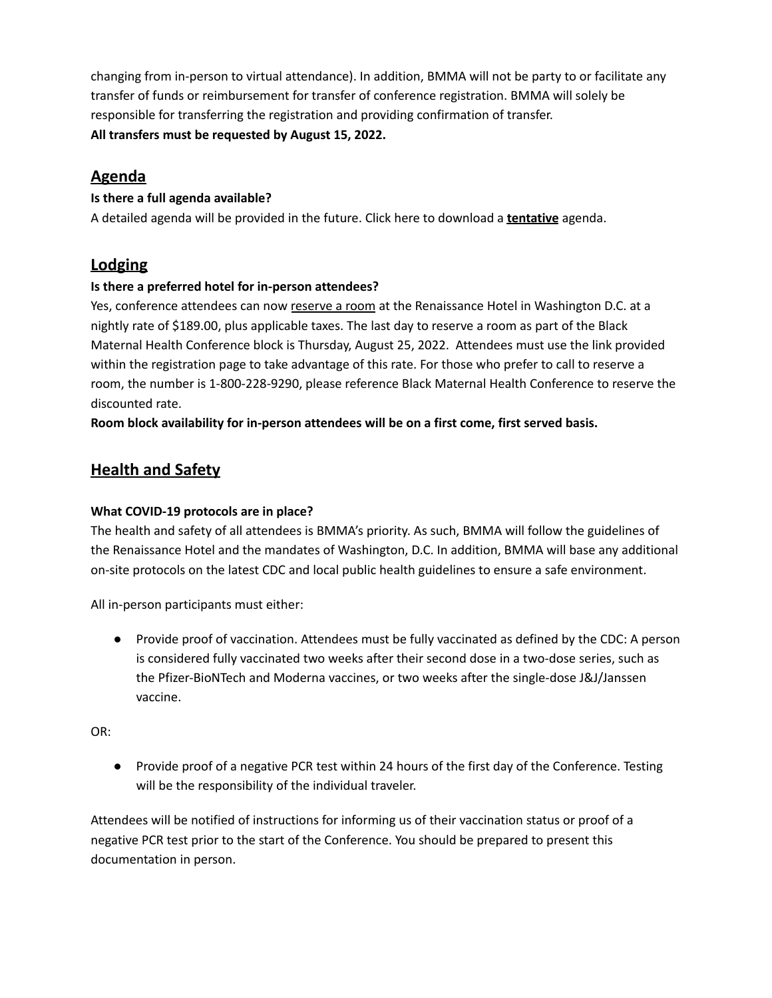changing from in-person to virtual attendance). In addition, BMMA will not be party to or facilitate any transfer of funds or reimbursement for transfer of conference registration. BMMA will solely be responsible for transferring the registration and providing confirmation of transfer. **All transfers must be requested by August 15, 2022.**

# **Agenda**

# **Is there a full agenda available?**

A detailed agenda will be provided in the future. Click here to download a **tentative** agenda.

# **Lodging**

# **Is there a preferred hotel for in-person attendees?**

Yes, conference attendees can now [reserve](https://book.passkey.com/go/BlackMamasMatter2022) a room at the Renaissance Hotel in Washington D.C. at a nightly rate of \$189.00, plus applicable taxes. The last day to reserve a room as part of the Black Maternal Health Conference block is Thursday, August 25, 2022. Attendees must use the link provided within the registration page to take advantage of this rate. For those who prefer to call to reserve a room, the number is 1-800-228-9290, please reference Black Maternal Health Conference to reserve the discounted rate.

**Room block availability for in-person attendees will be on a first come, first served basis.**

# **Health and Safety**

# **What COVID-19 protocols are in place?**

The health and safety of all attendees is BMMA's priority. As such, BMMA will follow the guidelines of the Renaissance Hotel and the mandates of Washington, D.C. In addition, BMMA will base any additional on-site protocols on the latest CDC and local public health guidelines to ensure a safe environment.

All in-person participants must either:

● Provide proof of vaccination. Attendees must be fully vaccinated as defined by the CDC: A person is considered fully vaccinated two weeks after their second dose in a two-dose series, such as the Pfizer-BioNTech and Moderna vaccines, or two weeks after the single-dose J&J/Janssen vaccine.

OR:

● Provide proof of a negative PCR test within 24 hours of the first day of the Conference. Testing will be the responsibility of the individual traveler.

Attendees will be notified of instructions for informing us of their vaccination status or proof of a negative PCR test prior to the start of the Conference. You should be prepared to present this documentation in person.